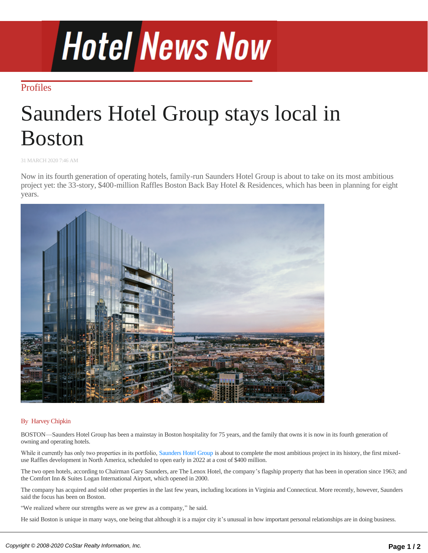# **Hotel News Now**

## **[Profiles](http://www.hotelnewsnow.com/Articles/ByCategory?category=Profiles)**

# Saunders Hotel Group stays local in Boston

31 MARCH 2020 7:46 AM

Now in its fourth generation of operating hotels, family-run Saunders Hotel Group is about to take on its most ambitious project yet: the 33-story, \$400-million Raffles Boston Back Bay Hotel & Residences, which has been in planning for eight years.



### By [Harvey Chipkin](http://www.hotelnewsnow.com/Author/298/Harvey-Chipkin)

BOSTON—Saunders Hotel Group has been a mainstay in Boston hospitality for 75 years, and the family that owns it is now in its fourth generation of owning and operating hotels.

While it currently has only two properties in its portfolio, [Saunders Hotel Group](https://saundershotelgroup.com/who-we-are/) is about to complete the most ambitious project in its history, the first mixeduse Raffles development in North America, scheduled to open early in 2022 at a cost of \$400 million.

The two open hotels, according to Chairman Gary Saunders, are The Lenox Hotel, the company's flagship property that has been in operation since 1963; and the Comfort Inn & Suites Logan International Airport, which opened in 2000.

The company has acquired and sold other properties in the last few years, including locations in Virginia and Connecticut. More recently, however, Saunders said the focus has been on Boston.

"We realized where our strengths were as we grew as a company," he said.

He said Boston is unique in many ways, one being that although it is a major city it's unusual in how important personal relationships are in doing business. The company has one other project under construction—a Cambria property—in Somerville, Massachusetts, a town near Boston that "is undergoing a